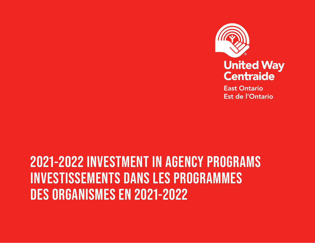

**East Ontario Est de l'Ontario** 

# **2021-2022 INVESTMENT IN AGENCY PROGRAMS INVESTISSEMENTS DANS LES PROGRAMMES DES ORGANISMES EN 2021-2022**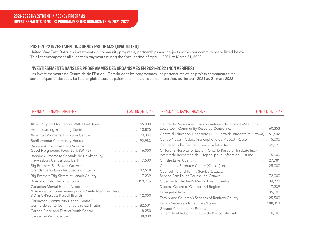# 2021-2022 INVESTMENT IN AGENCY PROGRAMS (UNAUDITED)

United Way East Ontario's investments in community programs, partnerships and projects within our community are listed below. This list encompasses all allocation payments during the fiscal period of April 1, 2021 to March 31, 2022.

# **COMMUNITY INVESTMENTS** INVESTISSEMENTS DANS LES PROGRAMMES DES ORGANISMES EN 2021-2022 (NON VÉRIFIÉS)

Les investissements de Centraide de l'Est de l'Ontario dans les programmes, les partenariats et les projets communautaires **COMMUNAUTAIRES CIBLÉS 2019-2020** sont indiqués ci-dessous. La liste englobe tous les paiements faits au cours de l'exercice, du 1er avril 2021 au 31 mars 2022.

### ORGANIZATION NAME/ORGANISME SAMOUNT/MONTANT SAMOUNT/MONTANT ORGANIZATION NAME/ORGANISME

| 55,000                                                                                        |
|-----------------------------------------------------------------------------------------------|
| 10,825                                                                                        |
| 20,334                                                                                        |
| 92,983                                                                                        |
| Banque Alimentaire Bons Voisins/<br>6,000                                                     |
| Banque Alimentaire Centrale de Hawkesbury/                                                    |
| Big Brothers Big Sisters Ottawa/<br>142,548                                                   |
|                                                                                               |
| 310,776                                                                                       |
| Canadian Mental Health Association<br>/L'Association Canadienne pour la Sante Mentale-Filiale |
| Carlington Community Health Centre /                                                          |
|                                                                                               |
| 48,000                                                                                        |

| Centre de Ressources Communautaires de la Basse-Ville Inc. /    |         |
|-----------------------------------------------------------------|---------|
|                                                                 | 60,353  |
| Centre d'Education Financiere EBO (Entraide Budgetaire Ottawa)  | 51,632  |
| Centre Novas - Calacs Francophone de Prescott-Russell           | 5,000   |
|                                                                 | 69,120  |
| Children's Hospital of Eastern Ontario Research Institute Inc./ |         |
| Institut de Recherche de l'Hopital pour Enfants de l'Est Inc.   | 75,000  |
|                                                                 | 27,781  |
|                                                                 | 25,000  |
| Counselling and Family Service Ottawa/                          |         |
|                                                                 | 72,000  |
|                                                                 | 34,770  |
|                                                                 | 117,239 |
|                                                                 | 35,000  |
| Family and Children's Services of Renfrew County                | 25,500  |
|                                                                 | 188,413 |
| Groupe Action pour l'Enfant,                                    |         |
| la Famille et la Communaute de Prescott-Russell  10,000         |         |